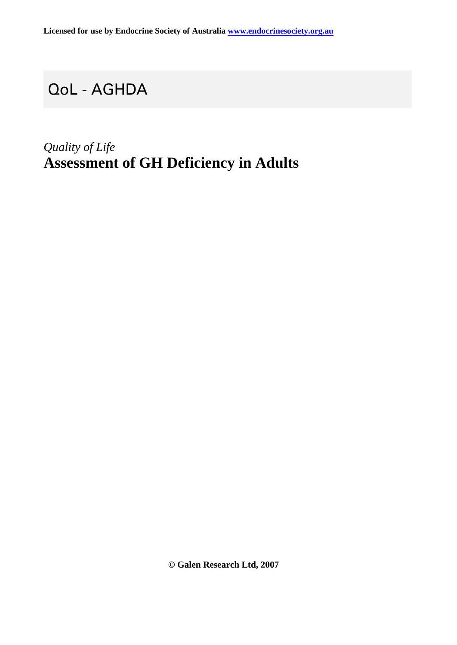## QoL - AGHDA

## *Quality of Life* **Assessment of GH Deficiency in Adults**

**© Galen Research Ltd, 2007**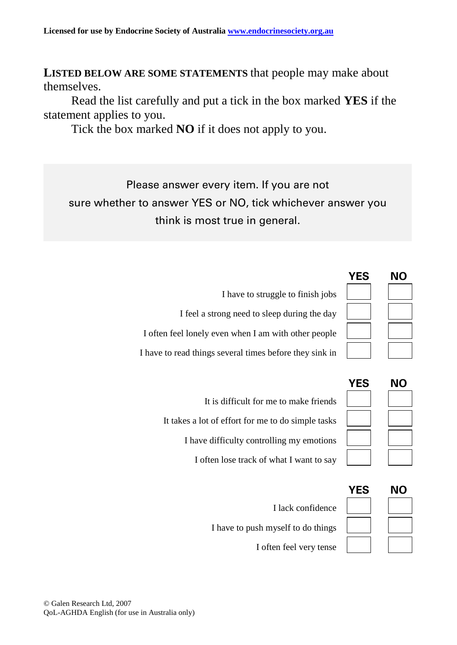**LISTED BELOW ARE SOME STATEMENTS** that people may make about themselves.

Read the list carefully and put a tick in the box marked **YES** if the statement applies to you.

Tick the box marked **NO** if it does not apply to you.

Please answer every item. If you are not sure whether to answer YES or NO, tick whichever answer you think is most true in general.

|                                                         | NΟ |
|---------------------------------------------------------|----|
| I have to struggle to finish jobs                       |    |
| I feel a strong need to sleep during the day            |    |
| I often feel lonely even when I am with other people    |    |
| I have to read things several times before they sink in |    |

| It is difficult for me to make friends             |
|----------------------------------------------------|
| It takes a lot of effort for me to do simple tasks |
| I have difficulty controlling my emotions          |
| I often lose track of what I want to say           |

| NΟ |
|----|
|    |
|    |
|    |
|    |
|    |
|    |

**YES NO**

| I lack confidence                  |
|------------------------------------|
| I have to push myself to do things |
| I often feel very tense            |